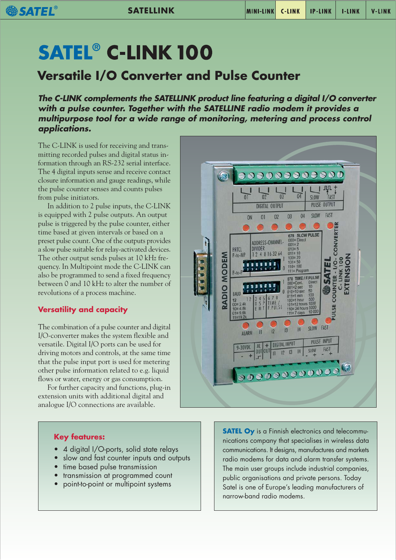# **SATEL<sup>®</sup> C-LINK 100**

**SATEL** 

# **Versatile I/O Converter and Pulse Counter**

**The C-LINK complements the SATELLINK product line featuring a digital I/O converter with a pulse counter. Together with the SATELLINE radio modem it provides a multipurpose tool for a wide range of monitoring, metering and process control applications.**

The C-LINK is used for receiving and transmitting recorded pulses and digital status information through an RS-232 serial interface. The 4 digital inputs sense and receive contact closure information and gauge readings, while the pulse counter senses and counts pulses from pulse initiators.

In addition to 2 pulse inputs, the C-LINK is equipped with 2 pulse outputs. An output pulse is triggered by the pulse counter, either time based at given intervals or based on a preset pulse count. One of the outputs provides a slow pulse suitable for relay-activated devices. The other output sends pulses at 10 kHz frequency. In Multipoint mode the C-LINK can also be programmed to send a fixed frequency between 0 and 10 kHz to alter the number of revolutions of a process machine.

### **Versatility and capacity**

The combination of a pulse counter and digital I/O-converter makes the system flexible and versatile. Digital I/O ports can be used for driving motors and controls, at the same time that the pulse input port is used for metering other pulse information related to e.g. liquid flows or water, energy or gas consumption.

For further capacity and functions, plug-in extension units with additional digital and analogue I/O connections are available.



#### **Key features:**

- 4 digital I/O-ports, solid state relays
- slow and fast counter inputs and outputs
- time based pulse transmission
- transmission at programmed count
- point-to-point or multipoint systems

**SATEL Oy** is a Finnish electronics and telecommunications company that specialises in wireless data communications. It designs, manufactures and markets radio modems for data and alarm transfer systems. The main user groups include industrial companies, public organisations and private persons. Today Satel is one of Europe's leading manufacturers of narrow-band radio modems.